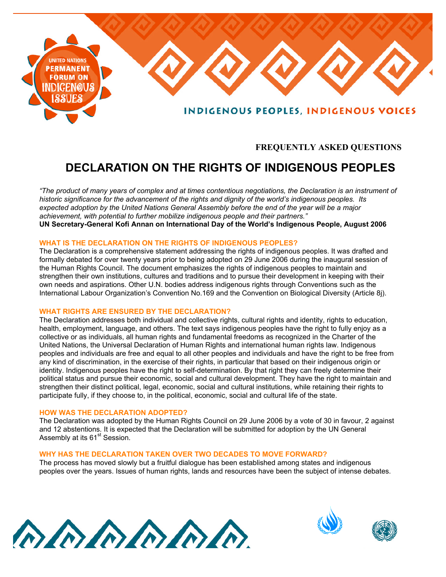

# **FREQUENTLY ASKED QUESTIONS**

# **DECLARATION ON THE RIGHTS OF INDIGENOUS PEOPLES**

*"The product of many years of complex and at times contentious negotiations, the Declaration is an instrument of historic significance for the advancement of the rights and dignity of the world's indigenous peoples. Its expected adoption by the United Nations General Assembly before the end of the year will be a major achievement, with potential to further mobilize indigenous people and their partners."* **UN Secretary-General Kofi Annan on International Day of the World's Indigenous People, August 2006**

# **WHAT IS THE DECLARATION ON THE RIGHTS OF INDIGENOUS PEOPLES?**

The Declaration is a comprehensive statement addressing the rights of indigenous peoples. It was drafted and formally debated for over twenty years prior to being adopted on 29 June 2006 during the inaugural session of the Human Rights Council. The document emphasizes the rights of indigenous peoples to maintain and strengthen their own institutions, cultures and traditions and to pursue their development in keeping with their own needs and aspirations. Other U.N. bodies address indigenous rights through Conventions such as the International Labour Organization's Convention No.169 and the Convention on Biological Diversity (Article 8j).

# **WHAT RIGHTS ARE ENSURED BY THE DECLARATION?**

The Declaration addresses both individual and collective rights, cultural rights and identity, rights to education, health, employment, language, and others. The text says indigenous peoples have the right to fully enjoy as a collective or as individuals, all human rights and fundamental freedoms as recognized in the Charter of the United Nations, the Universal Declaration of Human Rights and international human rights law. Indigenous peoples and individuals are free and equal to all other peoples and individuals and have the right to be free from any kind of discrimination, in the exercise of their rights, in particular that based on their indigenous origin or identity. Indigenous peoples have the right to self-determination. By that right they can freely determine their political status and pursue their economic, social and cultural development. They have the right to maintain and strengthen their distinct political, legal, economic, social and cultural institutions, while retaining their rights to participate fully, if they choose to, in the political, economic, social and cultural life of the state.

### **HOW WAS THE DECLARATION ADOPTED?**

The Declaration was adopted by the Human Rights Council on 29 June 2006 by a vote of 30 in favour, 2 against and 12 abstentions. It is expected that the Declaration will be submitted for adoption by the UN General Assembly at its  $61<sup>st</sup>$  Session.

# **WHY HAS THE DECLARATION TAKEN OVER TWO DECADES TO MOVE FORWARD?**

The process has moved slowly but a fruitful dialogue has been established among states and indigenous peoples over the years. Issues of human rights, lands and resources have been the subject of intense debates.